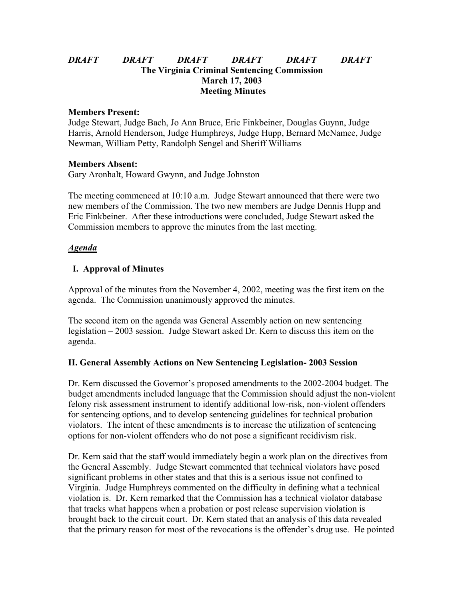## *DRAFT DRAFT DRAFT DRAFT DRAFT DRAFT* **The Virginia Criminal Sentencing Commission March 17, 2003 Meeting Minutes**

#### **Members Present:**

Judge Stewart, Judge Bach, Jo Ann Bruce, Eric Finkbeiner, Douglas Guynn, Judge Harris, Arnold Henderson, Judge Humphreys, Judge Hupp, Bernard McNamee, Judge Newman, William Petty, Randolph Sengel and Sheriff Williams

#### **Members Absent:**

Gary Aronhalt, Howard Gwynn, and Judge Johnston

The meeting commenced at 10:10 a.m. Judge Stewart announced that there were two new members of the Commission. The two new members are Judge Dennis Hupp and Eric Finkbeiner. After these introductions were concluded, Judge Stewart asked the Commission members to approve the minutes from the last meeting.

### *Agenda*

## **I. Approval of Minutes**

Approval of the minutes from the November 4, 2002, meeting was the first item on the agenda. The Commission unanimously approved the minutes.

The second item on the agenda was General Assembly action on new sentencing legislation – 2003 session. Judge Stewart asked Dr. Kern to discuss this item on the agenda.

### **II. General Assembly Actions on New Sentencing Legislation- 2003 Session**

Dr. Kern discussed the Governor's proposed amendments to the 2002-2004 budget. The budget amendments included language that the Commission should adjust the non-violent felony risk assessment instrument to identify additional low-risk, non-violent offenders for sentencing options, and to develop sentencing guidelines for technical probation violators. The intent of these amendments is to increase the utilization of sentencing options for non-violent offenders who do not pose a significant recidivism risk.

Dr. Kern said that the staff would immediately begin a work plan on the directives from the General Assembly. Judge Stewart commented that technical violators have posed significant problems in other states and that this is a serious issue not confined to Virginia. Judge Humphreys commented on the difficulty in defining what a technical violation is. Dr. Kern remarked that the Commission has a technical violator database that tracks what happens when a probation or post release supervision violation is brought back to the circuit court. Dr. Kern stated that an analysis of this data revealed that the primary reason for most of the revocations is the offender's drug use. He pointed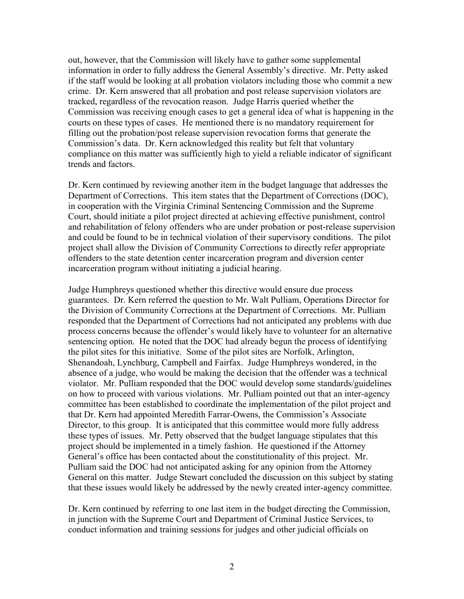out, however, that the Commission will likely have to gather some supplemental information in order to fully address the General Assembly's directive. Mr. Petty asked if the staff would be looking at all probation violators including those who commit a new crime. Dr. Kern answered that all probation and post release supervision violators are tracked, regardless of the revocation reason. Judge Harris queried whether the Commission was receiving enough cases to get a general idea of what is happening in the courts on these types of cases. He mentioned there is no mandatory requirement for filling out the probation/post release supervision revocation forms that generate the Commission's data. Dr. Kern acknowledged this reality but felt that voluntary compliance on this matter was sufficiently high to yield a reliable indicator of significant trends and factors.

Dr. Kern continued by reviewing another item in the budget language that addresses the Department of Corrections. This item states that the Department of Corrections (DOC), in cooperation with the Virginia Criminal Sentencing Commission and the Supreme Court, should initiate a pilot project directed at achieving effective punishment, control and rehabilitation of felony offenders who are under probation or post-release supervision and could be found to be in technical violation of their supervisory conditions. The pilot project shall allow the Division of Community Corrections to directly refer appropriate offenders to the state detention center incarceration program and diversion center incarceration program without initiating a judicial hearing.

Judge Humphreys questioned whether this directive would ensure due process guarantees. Dr. Kern referred the question to Mr. Walt Pulliam, Operations Director for the Division of Community Corrections at the Department of Corrections. Mr. Pulliam responded that the Department of Corrections had not anticipated any problems with due process concerns because the offender's would likely have to volunteer for an alternative sentencing option. He noted that the DOC had already begun the process of identifying the pilot sites for this initiative. Some of the pilot sites are Norfolk, Arlington, Shenandoah, Lynchburg, Campbell and Fairfax. Judge Humphreys wondered, in the absence of a judge, who would be making the decision that the offender was a technical violator. Mr. Pulliam responded that the DOC would develop some standards/guidelines on how to proceed with various violations. Mr. Pulliam pointed out that an inter-agency committee has been established to coordinate the implementation of the pilot project and that Dr. Kern had appointed Meredith Farrar-Owens, the Commission's Associate Director, to this group. It is anticipated that this committee would more fully address these types of issues. Mr. Petty observed that the budget language stipulates that this project should be implemented in a timely fashion. He questioned if the Attorney General's office has been contacted about the constitutionality of this project. Mr. Pulliam said the DOC had not anticipated asking for any opinion from the Attorney General on this matter. Judge Stewart concluded the discussion on this subject by stating that these issues would likely be addressed by the newly created inter-agency committee.

Dr. Kern continued by referring to one last item in the budget directing the Commission, in junction with the Supreme Court and Department of Criminal Justice Services, to conduct information and training sessions for judges and other judicial officials on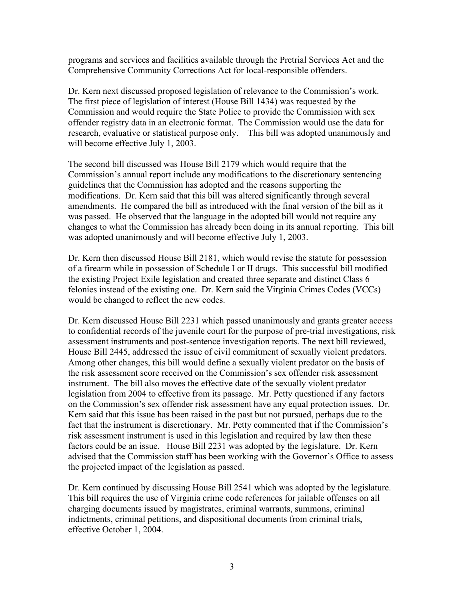programs and services and facilities available through the Pretrial Services Act and the Comprehensive Community Corrections Act for local-responsible offenders.

Dr. Kern next discussed proposed legislation of relevance to the Commission's work. The first piece of legislation of interest (House Bill 1434) was requested by the Commission and would require the State Police to provide the Commission with sex offender registry data in an electronic format. The Commission would use the data for research, evaluative or statistical purpose only. This bill was adopted unanimously and will become effective July 1, 2003.

The second bill discussed was House Bill 2179 which would require that the Commission's annual report include any modifications to the discretionary sentencing guidelines that the Commission has adopted and the reasons supporting the modifications. Dr. Kern said that this bill was altered significantly through several amendments. He compared the bill as introduced with the final version of the bill as it was passed. He observed that the language in the adopted bill would not require any changes to what the Commission has already been doing in its annual reporting. This bill was adopted unanimously and will become effective July 1, 2003.

Dr. Kern then discussed House Bill 2181, which would revise the statute for possession of a firearm while in possession of Schedule I or II drugs. This successful bill modified the existing Project Exile legislation and created three separate and distinct Class 6 felonies instead of the existing one. Dr. Kern said the Virginia Crimes Codes (VCCs) would be changed to reflect the new codes.

Dr. Kern discussed House Bill 2231 which passed unanimously and grants greater access to confidential records of the juvenile court for the purpose of pre-trial investigations, risk assessment instruments and post-sentence investigation reports. The next bill reviewed, House Bill 2445, addressed the issue of civil commitment of sexually violent predators. Among other changes, this bill would define a sexually violent predator on the basis of the risk assessment score received on the Commission's sex offender risk assessment instrument. The bill also moves the effective date of the sexually violent predator legislation from 2004 to effective from its passage. Mr. Petty questioned if any factors on the Commission's sex offender risk assessment have any equal protection issues. Dr. Kern said that this issue has been raised in the past but not pursued, perhaps due to the fact that the instrument is discretionary. Mr. Petty commented that if the Commission's risk assessment instrument is used in this legislation and required by law then these factors could be an issue. House Bill 2231 was adopted by the legislature. Dr. Kern advised that the Commission staff has been working with the Governor's Office to assess the projected impact of the legislation as passed.

Dr. Kern continued by discussing House Bill 2541 which was adopted by the legislature. This bill requires the use of Virginia crime code references for jailable offenses on all charging documents issued by magistrates, criminal warrants, summons, criminal indictments, criminal petitions, and dispositional documents from criminal trials, effective October 1, 2004.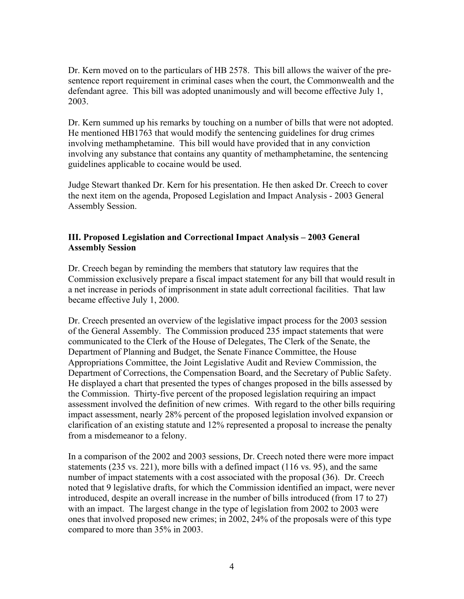Dr. Kern moved on to the particulars of HB 2578. This bill allows the waiver of the presentence report requirement in criminal cases when the court, the Commonwealth and the defendant agree. This bill was adopted unanimously and will become effective July 1, 2003.

Dr. Kern summed up his remarks by touching on a number of bills that were not adopted. He mentioned HB1763 that would modify the sentencing guidelines for drug crimes involving methamphetamine. This bill would have provided that in any conviction involving any substance that contains any quantity of methamphetamine, the sentencing guidelines applicable to cocaine would be used.

Judge Stewart thanked Dr. Kern for his presentation. He then asked Dr. Creech to cover the next item on the agenda, Proposed Legislation and Impact Analysis - 2003 General Assembly Session.

## **III. Proposed Legislation and Correctional Impact Analysis – 2003 General Assembly Session**

Dr. Creech began by reminding the members that statutory law requires that the Commission exclusively prepare a fiscal impact statement for any bill that would result in a net increase in periods of imprisonment in state adult correctional facilities. That law became effective July 1, 2000.

Dr. Creech presented an overview of the legislative impact process for the 2003 session of the General Assembly. The Commission produced 235 impact statements that were communicated to the Clerk of the House of Delegates, The Clerk of the Senate, the Department of Planning and Budget, the Senate Finance Committee, the House Appropriations Committee, the Joint Legislative Audit and Review Commission, the Department of Corrections, the Compensation Board, and the Secretary of Public Safety. He displayed a chart that presented the types of changes proposed in the bills assessed by the Commission. Thirty-five percent of the proposed legislation requiring an impact assessment involved the definition of new crimes. With regard to the other bills requiring impact assessment, nearly 28% percent of the proposed legislation involved expansion or clarification of an existing statute and 12% represented a proposal to increase the penalty from a misdemeanor to a felony.

In a comparison of the 2002 and 2003 sessions, Dr. Creech noted there were more impact statements (235 vs. 221), more bills with a defined impact (116 vs. 95), and the same number of impact statements with a cost associated with the proposal (36). Dr. Creech noted that 9 legislative drafts, for which the Commission identified an impact, were never introduced, despite an overall increase in the number of bills introduced (from 17 to 27) with an impact. The largest change in the type of legislation from 2002 to 2003 were ones that involved proposed new crimes; in 2002, 24% of the proposals were of this type compared to more than 35% in 2003.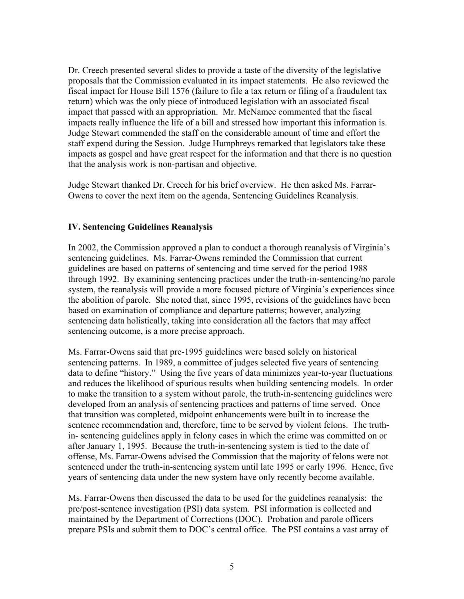Dr. Creech presented several slides to provide a taste of the diversity of the legislative proposals that the Commission evaluated in its impact statements. He also reviewed the fiscal impact for House Bill 1576 (failure to file a tax return or filing of a fraudulent tax return) which was the only piece of introduced legislation with an associated fiscal impact that passed with an appropriation. Mr. McNamee commented that the fiscal impacts really influence the life of a bill and stressed how important this information is. Judge Stewart commended the staff on the considerable amount of time and effort the staff expend during the Session. Judge Humphreys remarked that legislators take these impacts as gospel and have great respect for the information and that there is no question that the analysis work is non-partisan and objective.

Judge Stewart thanked Dr. Creech for his brief overview. He then asked Ms. Farrar-Owens to cover the next item on the agenda, Sentencing Guidelines Reanalysis.

## **IV. Sentencing Guidelines Reanalysis**

In 2002, the Commission approved a plan to conduct a thorough reanalysis of Virginia's sentencing guidelines. Ms. Farrar-Owens reminded the Commission that current guidelines are based on patterns of sentencing and time served for the period 1988 through 1992. By examining sentencing practices under the truth-in-sentencing/no parole system, the reanalysis will provide a more focused picture of Virginia's experiences since the abolition of parole. She noted that, since 1995, revisions of the guidelines have been based on examination of compliance and departure patterns; however, analyzing sentencing data holistically, taking into consideration all the factors that may affect sentencing outcome, is a more precise approach.

Ms. Farrar-Owens said that pre-1995 guidelines were based solely on historical sentencing patterns. In 1989, a committee of judges selected five years of sentencing data to define "history." Using the five years of data minimizes year-to-year fluctuations and reduces the likelihood of spurious results when building sentencing models. In order to make the transition to a system without parole, the truth-in-sentencing guidelines were developed from an analysis of sentencing practices and patterns of time served. Once that transition was completed, midpoint enhancements were built in to increase the sentence recommendation and, therefore, time to be served by violent felons. The truthin- sentencing guidelines apply in felony cases in which the crime was committed on or after January 1, 1995. Because the truth-in-sentencing system is tied to the date of offense, Ms. Farrar-Owens advised the Commission that the majority of felons were not sentenced under the truth-in-sentencing system until late 1995 or early 1996. Hence, five years of sentencing data under the new system have only recently become available.

Ms. Farrar-Owens then discussed the data to be used for the guidelines reanalysis: the pre/post-sentence investigation (PSI) data system. PSI information is collected and maintained by the Department of Corrections (DOC). Probation and parole officers prepare PSIs and submit them to DOC's central office. The PSI contains a vast array of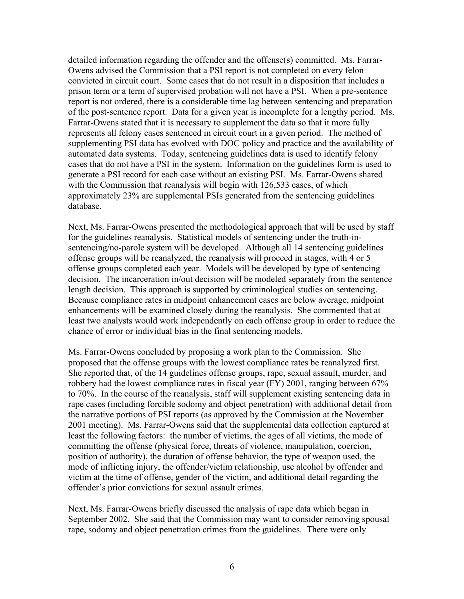detailed information regarding the offender and the offense(s) committed. Ms. Farrar-Owens advised the Commission that a PSI report is not completed on every felon convicted in circuit court. Some cases that do not result in a disposition that includes a prison term or a term of supervised probation will not have a PSI. When a pre-sentence report is not ordered, there is a considerable time lag between sentencing and preparation of the post-sentence report. Data for a given year is incomplete for a lengthy period. Ms. Farrar-Owens stated that it is necessary to supplement the data so that it more fully represents all felony cases sentenced in circuit court in a given period. The method of supplementing PSI data has evolved with DOC policy and practice and the availability of automated data systems. Today, sentencing guidelines data is used to identify felony cases that do not have a PSI in the system. Information on the guidelines form is used to generate a PSI record for each case without an existing PSI. Ms. Farrar-Owens shared with the Commission that reanalysis will begin with 126,533 cases, of which approximately 23% are supplemental PSIs generated from the sentencing guidelines database.

Next, Ms. Farrar-Owens presented the methodological approach that will be used by staff for the guidelines reanalysis. Statistical models of sentencing under the truth-insentencing/no-parole system will be developed. Although all 14 sentencing guidelines offense groups will be reanalyzed, the reanalysis will proceed in stages, with 4 or 5 offense groups completed each year. Models will be developed by type of sentencing decision. The incarceration in/out decision will be modeled separately from the sentence length decision. This approach is supported by criminological studies on sentencing. Because compliance rates in midpoint enhancement cases are below average, midpoint enhancements will be examined closely during the reanalysis. She commented that at least two analysts would work independently on each offense group in order to reduce the chance of error or individual bias in the final sentencing models.

Ms. Farrar-Owens concluded by proposing a work plan to the Commission. She proposed that the offense groups with the lowest compliance rates be reanalyzed first. She reported that, of the 14 guidelines offense groups, rape, sexual assault, murder, and robbery had the lowest compliance rates in fiscal year (FY) 2001, ranging between 67% to 70%. In the course of the reanalysis, staff will supplement existing sentencing data in rape cases (including forcible sodomy and object penetration) with additional detail from the narrative portions of PSI reports (as approved by the Commission at the November 2001 meeting). Ms. Farrar-Owens said that the supplemental data collection captured at least the following factors: the number of victims, the ages of all victims, the mode of committing the offense (physical force, threats of violence, manipulation, coercion, position of authority), the duration of offense behavior, the type of weapon used, the mode of inflicting injury, the offender/victim relationship, use alcohol by offender and victim at the time of offense, gender of the victim, and additional detail regarding the offender's prior convictions for sexual assault crimes.

Next, Ms. Farrar-Owens briefly discussed the analysis of rape data which began in September 2002. She said that the Commission may want to consider removing spousal rape, sodomy and object penetration crimes from the guidelines. There were only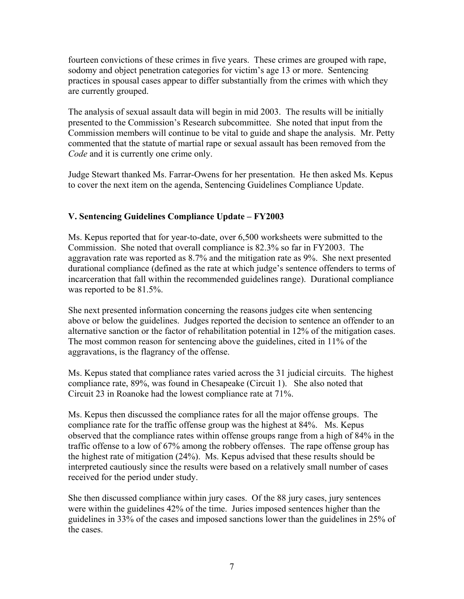fourteen convictions of these crimes in five years. These crimes are grouped with rape, sodomy and object penetration categories for victim's age 13 or more. Sentencing practices in spousal cases appear to differ substantially from the crimes with which they are currently grouped.

The analysis of sexual assault data will begin in mid 2003. The results will be initially presented to the Commission's Research subcommittee. She noted that input from the Commission members will continue to be vital to guide and shape the analysis. Mr. Petty commented that the statute of martial rape or sexual assault has been removed from the *Code* and it is currently one crime only.

Judge Stewart thanked Ms. Farrar-Owens for her presentation. He then asked Ms. Kepus to cover the next item on the agenda, Sentencing Guidelines Compliance Update.

# **V. Sentencing Guidelines Compliance Update – FY2003**

Ms. Kepus reported that for year-to-date, over 6,500 worksheets were submitted to the Commission. She noted that overall compliance is 82.3% so far in FY2003. The aggravation rate was reported as 8.7% and the mitigation rate as 9%. She next presented durational compliance (defined as the rate at which judge's sentence offenders to terms of incarceration that fall within the recommended guidelines range). Durational compliance was reported to be 81.5%.

She next presented information concerning the reasons judges cite when sentencing above or below the guidelines. Judges reported the decision to sentence an offender to an alternative sanction or the factor of rehabilitation potential in 12% of the mitigation cases. The most common reason for sentencing above the guidelines, cited in 11% of the aggravations, is the flagrancy of the offense.

Ms. Kepus stated that compliance rates varied across the 31 judicial circuits. The highest compliance rate, 89%, was found in Chesapeake (Circuit 1). She also noted that Circuit 23 in Roanoke had the lowest compliance rate at 71%.

Ms. Kepus then discussed the compliance rates for all the major offense groups. The compliance rate for the traffic offense group was the highest at 84%. Ms. Kepus observed that the compliance rates within offense groups range from a high of 84% in the traffic offense to a low of 67% among the robbery offenses. The rape offense group has the highest rate of mitigation (24%). Ms. Kepus advised that these results should be interpreted cautiously since the results were based on a relatively small number of cases received for the period under study.

She then discussed compliance within jury cases. Of the 88 jury cases, jury sentences were within the guidelines 42% of the time. Juries imposed sentences higher than the guidelines in 33% of the cases and imposed sanctions lower than the guidelines in 25% of the cases.